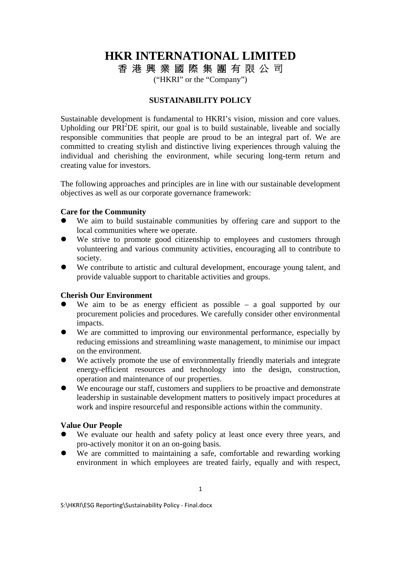# **HKR INTERNATIONAL LIMITED**

香 港 興 業 國 際 集 團 有 限 公 司

("HKRI" or the "Company")

## **SUSTAINABILITY POLICY**

Sustainable development is fundamental to HKRI's vision, mission and core values. Upholding our  $PRI<sup>2</sup>DE$  spirit, our goal is to build sustainable, liveable and socially responsible communities that people are proud to be an integral part of. We are committed to creating stylish and distinctive living experiences through valuing the individual and cherishing the environment, while securing long-term return and creating value for investors.

The following approaches and principles are in line with our sustainable development objectives as well as our corporate governance framework:

### **Care for the Community**

- We aim to build sustainable communities by offering care and support to the local communities where we operate.
- We strive to promote good citizenship to employees and customers through volunteering and various community activities, encouraging all to contribute to society.
- We contribute to artistic and cultural development, encourage young talent, and provide valuable support to charitable activities and groups.

#### **Cherish Our Environment**

- We aim to be as energy efficient as possible  $-$  a goal supported by our procurement policies and procedures. We carefully consider other environmental impacts.
- We are committed to improving our environmental performance, especially by reducing emissions and streamlining waste management, to minimise our impact on the environment.
- We actively promote the use of environmentally friendly materials and integrate energy-efficient resources and technology into the design, construction, operation and maintenance of our properties.
- We encourage our staff, customers and suppliers to be proactive and demonstrate leadership in sustainable development matters to positively impact procedures at work and inspire resourceful and responsible actions within the community.

## **Value Our People**

- We evaluate our health and safety policy at least once every three years, and pro-actively monitor it on an on-going basis.
- We are committed to maintaining a safe, comfortable and rewarding working environment in which employees are treated fairly, equally and with respect,